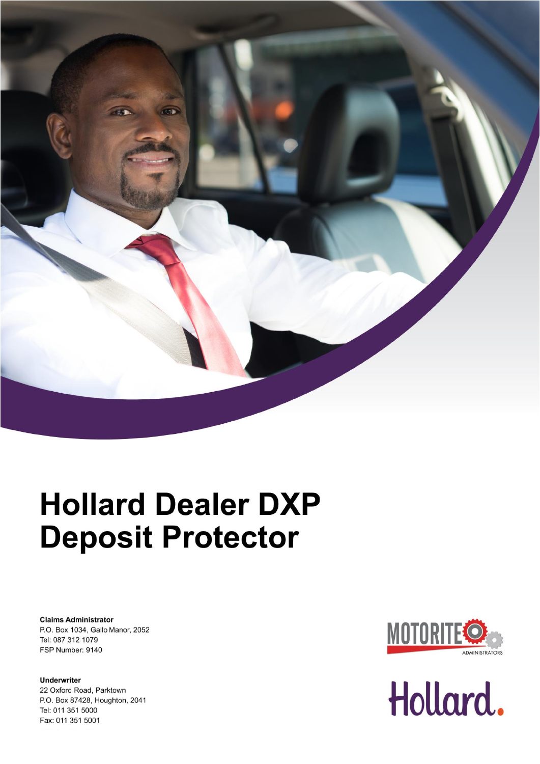

# **Hollard Dealer DXP Deposit Protector**

**Claims Administrator** P.O. Box 1034, Gallo Manor, 2052 Tel: 087 312 1079 FSP Number: 9140

**Underwriter** 22 Oxford Road, Parktown P.O. Box 87428, Houghton, 2041 Tel: 011 351 5000 Fax: 011 351 5001



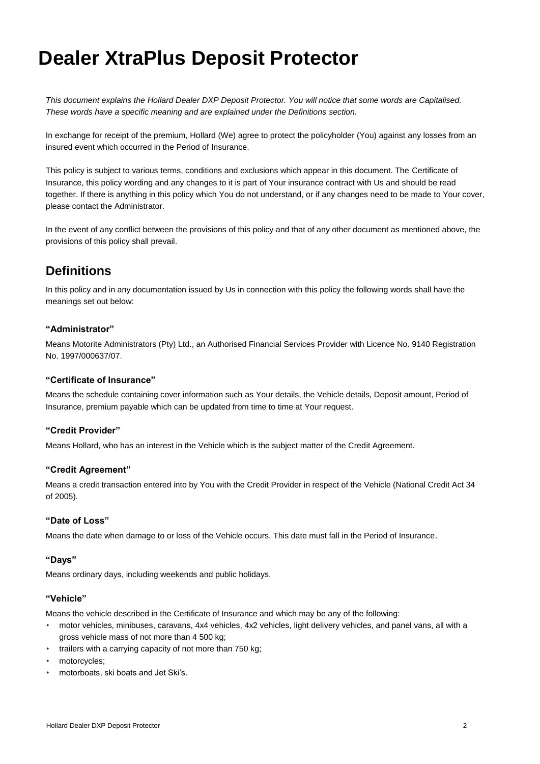## **Dealer XtraPlus Deposit Protector**

*This document explains the Hollard Dealer DXP Deposit Protector. You will notice that some words are Capitalised. These words have a specific meaning and are explained under the Definitions section.*

In exchange for receipt of the premium, Hollard (We) agree to protect the policyholder (You) against any losses from an insured event which occurred in the Period of Insurance.

This policy is subject to various terms, conditions and exclusions which appear in this document. The Certificate of Insurance, this policy wording and any changes to it is part of Your insurance contract with Us and should be read together. If there is anything in this policy which You do not understand, or if any changes need to be made to Your cover, please contact the Administrator.

In the event of any conflict between the provisions of this policy and that of any other document as mentioned above, the provisions of this policy shall prevail.

## **Definitions**

In this policy and in any documentation issued by Us in connection with this policy the following words shall have the meanings set out below:

#### **"Administrator"**

Means Motorite Administrators (Pty) Ltd., an Authorised Financial Services Provider with Licence No. 9140 Registration No. 1997/000637/07.

#### **"Certificate of Insurance"**

Means the schedule containing cover information such as Your details, the Vehicle details, Deposit amount, Period of Insurance, premium payable which can be updated from time to time at Your request.

#### **"Credit Provider"**

Means Hollard, who has an interest in the Vehicle which is the subject matter of the Credit Agreement.

#### **"Credit Agreement"**

Means a credit transaction entered into by You with the Credit Provider in respect of the Vehicle (National Credit Act 34 of 2005).

#### **"Date of Loss"**

Means the date when damage to or loss of the Vehicle occurs. This date must fall in the Period of Insurance.

#### **"Days"**

Means ordinary days, including weekends and public holidays.

#### **"Vehicle"**

Means the vehicle described in the Certificate of Insurance and which may be any of the following:

- motor vehicles, minibuses, caravans, 4x4 vehicles, 4x2 vehicles, light delivery vehicles, and panel vans, all with a gross vehicle mass of not more than 4 500 kg;
- trailers with a carrying capacity of not more than 750 kg;
- motorcycles;
- motorboats, ski boats and Jet Ski's.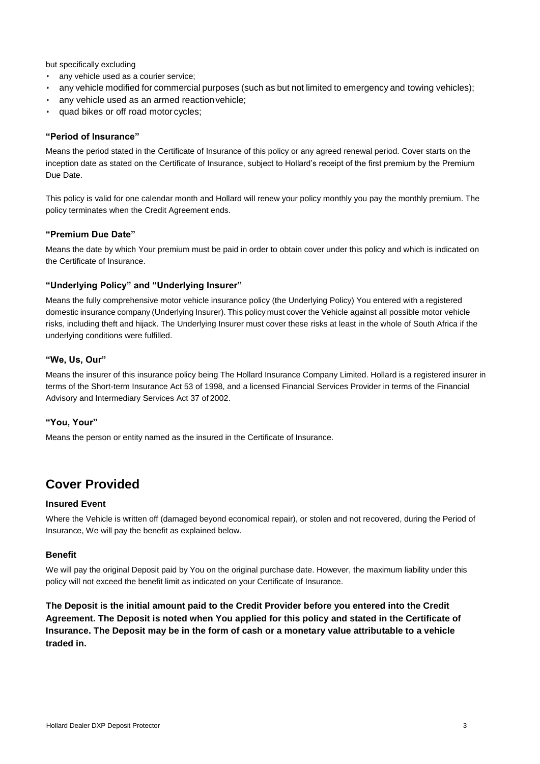but specifically excluding

- any vehicle used as a courier service;
- any vehicle modified for commercial purposes (such as but not limited to emergency and towing vehicles);
- any vehicle used as an armed reaction vehicle;
- quad bikes or off road motor cycles;

#### **"Period of Insurance"**

Means the period stated in the Certificate of Insurance of this policy or any agreed renewal period. Cover starts on the inception date as stated on the Certificate of Insurance, subject to Hollard's receipt of the first premium by the Premium Due Date.

This policy is valid for one calendar month and Hollard will renew your policy monthly you pay the monthly premium. The policy terminates when the Credit Agreement ends.

#### **"Premium Due Date"**

Means the date by which Your premium must be paid in order to obtain cover under this policy and which is indicated on the Certificate of Insurance.

#### **"Underlying Policy" and "Underlying Insurer"**

Means the fully comprehensive motor vehicle insurance policy (the Underlying Policy) You entered with a registered domestic insurance company (Underlying Insurer). This policy must cover the Vehicle against all possible motor vehicle risks, including theft and hijack. The Underlying Insurer must cover these risks at least in the whole of South Africa if the underlying conditions were fulfilled.

#### **"We, Us, Our"**

Means the insurer of this insurance policy being The Hollard Insurance Company Limited. Hollard is a registered insurer in terms of the Short-term Insurance Act 53 of 1998, and a licensed Financial Services Provider in terms of the Financial Advisory and Intermediary Services Act 37 of 2002.

#### **"You, Your"**

Means the person or entity named as the insured in the Certificate of Insurance.

### **Cover Provided**

#### **Insured Event**

Where the Vehicle is written off (damaged beyond economical repair), or stolen and not recovered, during the Period of Insurance, We will pay the benefit as explained below.

#### **Benefit**

We will pay the original Deposit paid by You on the original purchase date. However, the maximum liability under this policy will not exceed the benefit limit as indicated on your Certificate of Insurance.

**The Deposit is the initial amount paid to the Credit Provider before you entered into the Credit Agreement. The Deposit is noted when You applied for this policy and stated in the Certificate of Insurance. The Deposit may be in the form of cash or a monetary value attributable to a vehicle traded in.**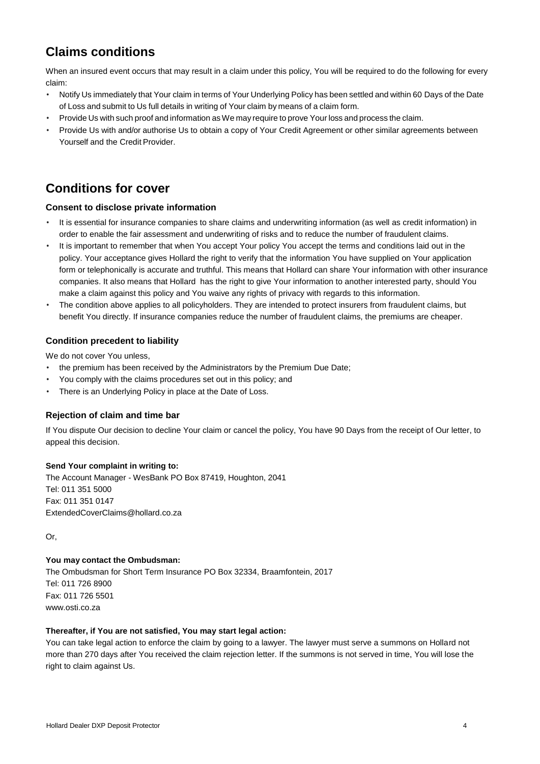## **Claims conditions**

When an insured event occurs that may result in a claim under this policy, You will be required to do the following for every claim:

- Notify Us immediately that Your claim in terms of Your Underlying Policy has been settled and within 60 Days of the Date of Loss and submit to Us full details in writing of Your claim by means of a claim form.
- Provide Us with such proof and information asWe may require to prove Your loss and process the claim.
- Provide Us with and/or authorise Us to obtain a copy of Your Credit Agreement or other similar agreements between Yourself and the Credit Provider.

## **Conditions for cover**

#### **Consent to disclose private information**

- It is essential for insurance companies to share claims and underwriting information (as well as credit information) in order to enable the fair assessment and underwriting of risks and to reduce the number of fraudulent claims.
- It is important to remember that when You accept Your policy You accept the terms and conditions laid out in the policy. Your acceptance gives Hollard the right to verify that the information You have supplied on Your application form or telephonically is accurate and truthful. This means that Hollard can share Your information with other insurance companies. It also means that Hollard has the right to give Your information to another interested party, should You make a claim against this policy and You waive any rights of privacy with regards to this information.
- The condition above applies to all policyholders. They are intended to protect insurers from fraudulent claims, but benefit You directly. If insurance companies reduce the number of fraudulent claims, the premiums are cheaper.

#### **Condition precedent to liability**

We do not cover You unless,

- the premium has been received by the Administrators by the Premium Due Date;
- You comply with the claims procedures set out in this policy; and
- There is an Underlying Policy in place at the Date of Loss.

#### **Rejection of claim and time bar**

If You dispute Our decision to decline Your claim or cancel the policy, You have 90 Days from the receipt of Our letter, to appeal this decision.

#### **Send Your complaint in writing to:**

The Account Manager - WesBank PO Box 87419, Houghton, 2041 Tel: 011 351 5000 Fax: 011 351 0147 [ExtendedCoverClaims@hollard.co.za](mailto:ExtendedCoverClaims@hollard.co.za)

Or,

#### **You may contact the Ombudsman:**

The Ombudsman for Short Term Insurance PO Box 32334, Braamfontein, 2017 Tel: 011 726 8900 Fax: 011 726 5501 [www.osti.co.za](http://www.osti.co.za/)

#### **Thereafter, if You are not satisfied, You may start legal action:**

You can take legal action to enforce the claim by going to a lawyer. The lawyer must serve a summons on Hollard not more than 270 days after You received the claim rejection letter. If the summons is not served in time, You will lose the right to claim against Us.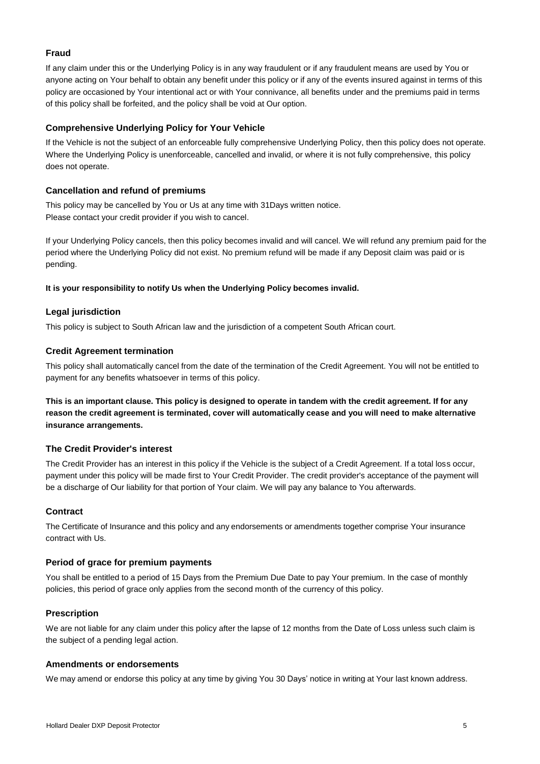#### **Fraud**

If any claim under this or the Underlying Policy is in any way fraudulent or if any fraudulent means are used by You or anyone acting on Your behalf to obtain any benefit under this policy or if any of the events insured against in terms of this policy are occasioned by Your intentional act or with Your connivance, all benefits under and the premiums paid in terms of this policy shall be forfeited, and the policy shall be void at Our option.

#### **Comprehensive Underlying Policy for Your Vehicle**

If the Vehicle is not the subject of an enforceable fully comprehensive Underlying Policy, then this policy does not operate. Where the Underlying Policy is unenforceable, cancelled and invalid, or where it is not fully comprehensive, this policy does not operate.

#### **Cancellation and refund of premiums**

This policy may be cancelled by You or Us at any time with 31Days written notice. Please contact your credit provider if you wish to cancel.

If your Underlying Policy cancels, then this policy becomes invalid and will cancel. We will refund any premium paid for the period where the Underlying Policy did not exist. No premium refund will be made if any Deposit claim was paid or is pending.

#### **It is your responsibility to notify Us when the Underlying Policy becomes invalid.**

#### **Legal jurisdiction**

This policy is subject to South African law and the jurisdiction of a competent South African court.

#### **Credit Agreement termination**

This policy shall automatically cancel from the date of the termination of the Credit Agreement. You will not be entitled to payment for any benefits whatsoever in terms of this policy.

**This is an important clause. This policy is designed to operate in tandem with the credit agreement. If for any reason the credit agreement is terminated, cover will automatically cease and you will need to make alternative insurance arrangements.**

#### **The Credit Provider's interest**

The Credit Provider has an interest in this policy if the Vehicle is the subject of a Credit Agreement. If a total loss occur, payment under this policy will be made first to Your Credit Provider. The credit provider's acceptance of the payment will be a discharge of Our liability for that portion of Your claim. We will pay any balance to You afterwards.

#### **Contract**

The Certificate of Insurance and this policy and any endorsements or amendments together comprise Your insurance contract with Us.

#### **Period of grace for premium payments**

You shall be entitled to a period of 15 Days from the Premium Due Date to pay Your premium. In the case of monthly policies, this period of grace only applies from the second month of the currency of this policy.

#### **Prescription**

We are not liable for any claim under this policy after the lapse of 12 months from the Date of Loss unless such claim is the subject of a pending legal action.

#### **Amendments or endorsements**

We may amend or endorse this policy at any time by giving You 30 Days' notice in writing at Your last known address.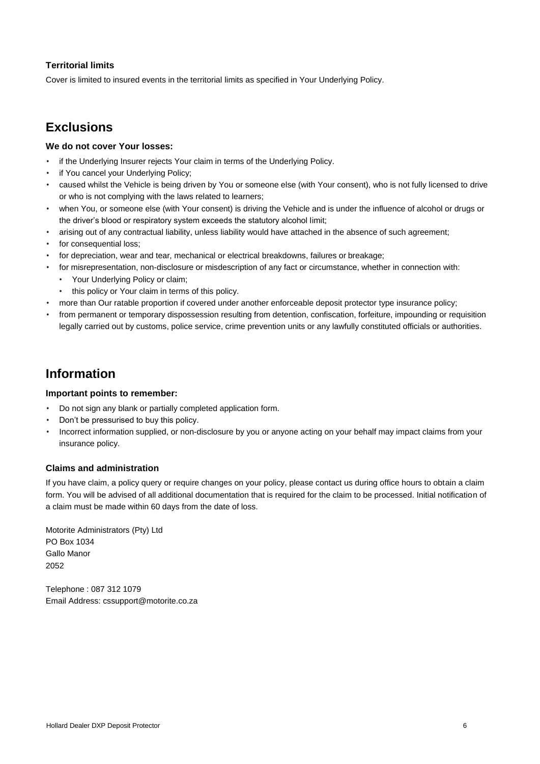#### **Territorial limits**

Cover is limited to insured events in the territorial limits as specified in Your Underlying Policy.

## **Exclusions**

#### **We do not cover Your losses:**

- if the Underlying Insurer rejects Your claim in terms of the Underlying Policy.
- if You cancel your Underlying Policy;
- caused whilst the Vehicle is being driven by You or someone else (with Your consent), who is not fully licensed to drive or who is not complying with the laws related to learners;
- when You, or someone else (with Your consent) is driving the Vehicle and is under the influence of alcohol or drugs or the driver's blood or respiratory system exceeds the statutory alcohol limit;
- arising out of any contractual liability, unless liability would have attached in the absence of such agreement;
- for consequential loss;
- for depreciation, wear and tear, mechanical or electrical breakdowns, failures or breakage;
- for misrepresentation, non-disclosure or misdescription of any fact or circumstance, whether in connection with:
	- Your Underlying Policy or claim;
	- this policy or Your claim in terms of this policy.
- more than Our ratable proportion if covered under another enforceable deposit protector type insurance policy;
- from permanent or temporary dispossession resulting from detention, confiscation, forfeiture, impounding or requisition legally carried out by customs, police service, crime prevention units or any lawfully constituted officials or authorities.

## **Information**

#### **Important points to remember:**

- Do not sign any blank or partially completed application form.
- Don't be pressurised to buy this policy.
- Incorrect information supplied, or non-disclosure by you or anyone acting on your behalf may impact claims from your insurance policy.

#### **Claims and administration**

If you have claim, a policy query or require changes on your policy, please contact us during office hours to obtain a claim form. You will be advised of all additional documentation that is required for the claim to be processed. Initial notification of a claim must be made within 60 days from the date of loss.

Motorite Administrators (Pty) Ltd PO Box 1034 Gallo Manor 2052

Telephone : 087 312 1079 Email Address: cssupport@motorite.co.za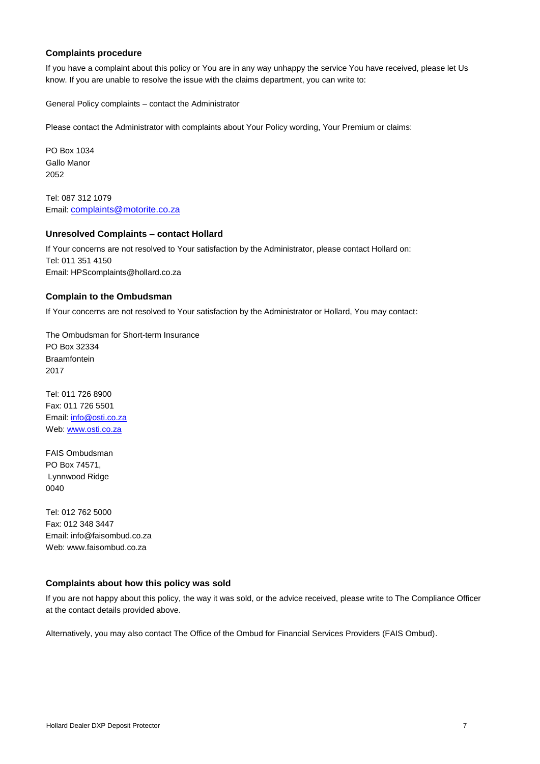#### **Complaints procedure**

If you have a complaint about this policy or You are in any way unhappy the service You have received, please let Us know. If you are unable to resolve the issue with the claims department, you can write to:

General Policy complaints – contact the Administrator

Please contact the Administrator with complaints about Your Policy wording, Your Premium or claims:

PO Box 1034 Gallo Manor 2052

Tel: 087 312 1079 Email: [complaints@motorite.co.za](mailto:complaints@motorite.co.za)

#### **Unresolved Complaints – contact Hollard**

If Your concerns are not resolved to Your satisfaction by the Administrator, please contact Hollard on: Tel: 011 351 4150 Email: HPScomplaints@hollard.co.za

#### **Complain to the Ombudsman**

If Your concerns are not resolved to Your satisfaction by the Administrator or Hollard, You may contact:

The Ombudsman for Short-term Insurance PO Box 32334 Braamfontein 2017

Tel: 011 726 8900 Fax: 011 726 5501 Email: [info@osti.co.za](mailto:info@osti.co.za) Web: [www.osti.co.za](http://www.osti.co.za/)

FAIS Ombudsman PO Box 74571, Lynnwood Ridge 0040

Tel: 012 762 5000 Fax: 012 348 3447 Email: info@faisombud.co.za Web: www.faisombud.co.za

#### **Complaints about how this policy was sold**

If you are not happy about this policy, the way it was sold, or the advice received, please write to The Compliance Officer at the contact details provided above.

Alternatively, you may also contact The Office of the Ombud for Financial Services Providers (FAIS Ombud).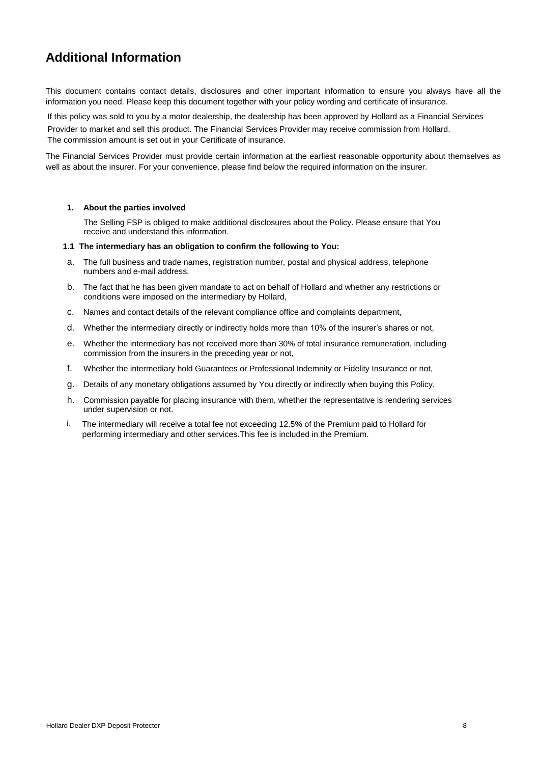## **Additional Information**

This document contains contact details, disclosures and other important information to ensure you always have all the information you need. Please keep this document together with your policy wording and certificate of insurance.

If this policy was sold to you by a motor dealership, the dealership has been approved by Hollard as a Financial Services

Provider to market and sell this product. The Financial Services Provider may receive commission from Hollard. The commission amount is set out in your Certificate of insurance.

The Financial Services Provider must provide certain information at the earliest reasonable opportunity about themselves as well as about the insurer. For your convenience, please find below the required information on the insurer.

#### **1. About the parties involved**

The Selling FSP is obliged to make additional disclosures about the Policy. Please ensure that You receive and understand this information.

#### **1.1 The intermediary has an obligation to confirm the following to You:**

- a. The full business and trade names, registration number, postal and physical address, telephone numbers and e-mail address,
- b. The fact that he has been given mandate to act on behalf of Hollard and whether any restrictions or conditions were imposed on the intermediary by Hollard,
- c. Names and contact details of the relevant compliance office and complaints department,
- d. Whether the intermediary directly or indirectly holds more than 10% of the insurer's shares or not,
- e. Whether the intermediary has not received more than 30% of total insurance remuneration, including commission from the insurers in the preceding year or not,
- f. Whether the intermediary hold Guarantees or Professional Indemnity or Fidelity Insurance or not,
- g. Details of any monetary obligations assumed by You directly or indirectly when buying this Policy,
- h. Commission payable for placing insurance with them, whether the representative is rendering services under supervision or not.
- i. The intermediary will receive a total fee not exceeding 12.5% of the Premium paid to Hollard for performing intermediary and other services.This fee is included in the Premium.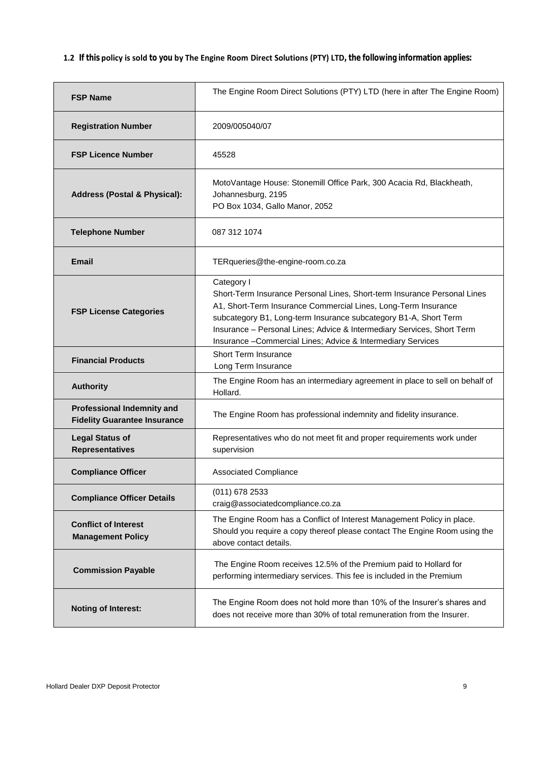**1.2 If this policy is sold to you by The Engine Room Direct Solutions (PTY) LTD, the following information applies:**

| <b>FSP Name</b>                                                          | The Engine Room Direct Solutions (PTY) LTD (here in after The Engine Room)                                                                                                                                                                                                                                                                                             |  |
|--------------------------------------------------------------------------|------------------------------------------------------------------------------------------------------------------------------------------------------------------------------------------------------------------------------------------------------------------------------------------------------------------------------------------------------------------------|--|
| <b>Registration Number</b>                                               | 2009/005040/07                                                                                                                                                                                                                                                                                                                                                         |  |
| <b>FSP Licence Number</b>                                                | 45528                                                                                                                                                                                                                                                                                                                                                                  |  |
| <b>Address (Postal &amp; Physical):</b>                                  | MotoVantage House: Stonemill Office Park, 300 Acacia Rd, Blackheath,<br>Johannesburg, 2195<br>PO Box 1034, Gallo Manor, 2052                                                                                                                                                                                                                                           |  |
| <b>Telephone Number</b>                                                  | 087 312 1074                                                                                                                                                                                                                                                                                                                                                           |  |
| Email                                                                    | TERqueries@the-engine-room.co.za                                                                                                                                                                                                                                                                                                                                       |  |
| <b>FSP License Categories</b>                                            | Category I<br>Short-Term Insurance Personal Lines, Short-term Insurance Personal Lines<br>A1, Short-Term Insurance Commercial Lines, Long-Term Insurance<br>subcategory B1, Long-term Insurance subcategory B1-A, Short Term<br>Insurance - Personal Lines; Advice & Intermediary Services, Short Term<br>Insurance - Commercial Lines; Advice & Intermediary Services |  |
| <b>Financial Products</b>                                                | <b>Short Term Insurance</b><br>Long Term Insurance                                                                                                                                                                                                                                                                                                                     |  |
| <b>Authority</b>                                                         | The Engine Room has an intermediary agreement in place to sell on behalf of<br>Hollard.                                                                                                                                                                                                                                                                                |  |
| <b>Professional Indemnity and</b><br><b>Fidelity Guarantee Insurance</b> | The Engine Room has professional indemnity and fidelity insurance.                                                                                                                                                                                                                                                                                                     |  |
| <b>Legal Status of</b><br><b>Representatives</b>                         | Representatives who do not meet fit and proper requirements work under<br>supervision                                                                                                                                                                                                                                                                                  |  |
| <b>Compliance Officer</b>                                                | <b>Associated Compliance</b>                                                                                                                                                                                                                                                                                                                                           |  |
| <b>Compliance Officer Details</b>                                        | (011) 678 2533<br>craig@associatedcompliance.co.za                                                                                                                                                                                                                                                                                                                     |  |
| <b>Conflict of Interest</b><br><b>Management Policy</b>                  | The Engine Room has a Conflict of Interest Management Policy in place.<br>Should you require a copy thereof please contact The Engine Room using the<br>above contact details.                                                                                                                                                                                         |  |
| <b>Commission Payable</b>                                                | The Engine Room receives 12.5% of the Premium paid to Hollard for<br>performing intermediary services. This fee is included in the Premium                                                                                                                                                                                                                             |  |
| <b>Noting of Interest:</b>                                               | The Engine Room does not hold more than 10% of the Insurer's shares and<br>does not receive more than 30% of total remuneration from the Insurer.                                                                                                                                                                                                                      |  |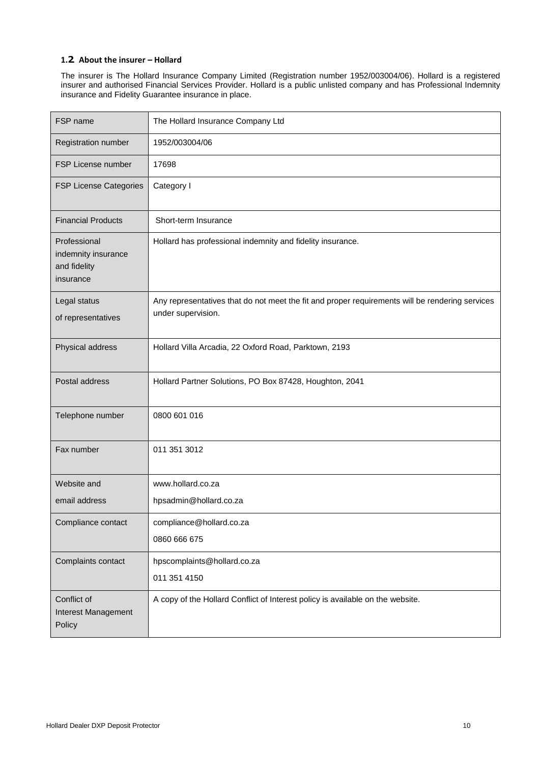#### **1.2. About the insurer – Hollard**

The insurer is The Hollard Insurance Company Limited (Registration number 1952/003004/06). Hollard is a registered insurer and authorised Financial Services Provider. Hollard is a public unlisted company and has Professional Indemnity insurance and Fidelity Guarantee insurance in place.

| FSP name                                                         | The Hollard Insurance Company Ltd                                                                                     |
|------------------------------------------------------------------|-----------------------------------------------------------------------------------------------------------------------|
| Registration number                                              | 1952/003004/06                                                                                                        |
| FSP License number                                               | 17698                                                                                                                 |
| <b>FSP License Categories</b>                                    | Category I                                                                                                            |
| <b>Financial Products</b>                                        | Short-term Insurance                                                                                                  |
| Professional<br>indemnity insurance<br>and fidelity<br>insurance | Hollard has professional indemnity and fidelity insurance.                                                            |
| Legal status<br>of representatives                               | Any representatives that do not meet the fit and proper requirements will be rendering services<br>under supervision. |
| Physical address                                                 | Hollard Villa Arcadia, 22 Oxford Road, Parktown, 2193                                                                 |
| Postal address                                                   | Hollard Partner Solutions, PO Box 87428, Houghton, 2041                                                               |
| Telephone number                                                 | 0800 601 016                                                                                                          |
| Fax number                                                       | 011 351 3012                                                                                                          |
| Website and                                                      | www.hollard.co.za                                                                                                     |
| email address                                                    | hpsadmin@hollard.co.za                                                                                                |
| Compliance contact                                               | compliance@hollard.co.za                                                                                              |
|                                                                  | 0860 666 675                                                                                                          |
| Complaints contact                                               | hpscomplaints@hollard.co.za                                                                                           |
|                                                                  | 011 351 4150                                                                                                          |
| Conflict of<br>Interest Management<br>Policy                     | A copy of the Hollard Conflict of Interest policy is available on the website.                                        |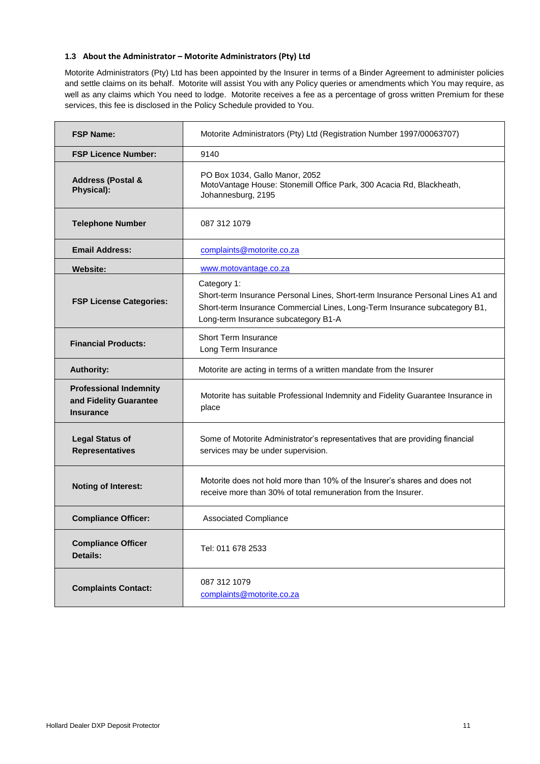#### **1.3 About the Administrator – Motorite Administrators (Pty) Ltd**

Motorite Administrators (Pty) Ltd has been appointed by the Insurer in terms of a Binder Agreement to administer policies and settle claims on its behalf. Motorite will assist You with any Policy queries or amendments which You may require, as well as any claims which You need to lodge. Motorite receives a fee as a percentage of gross written Premium for these services, this fee is disclosed in the Policy Schedule provided to You.

| <b>FSP Name:</b>                                                            | Motorite Administrators (Pty) Ltd (Registration Number 1997/00063707)                                                                                                                                                |  |  |
|-----------------------------------------------------------------------------|----------------------------------------------------------------------------------------------------------------------------------------------------------------------------------------------------------------------|--|--|
| <b>FSP Licence Number:</b>                                                  | 9140                                                                                                                                                                                                                 |  |  |
| <b>Address (Postal &amp;</b><br>Physical):                                  | PO Box 1034, Gallo Manor, 2052<br>MotoVantage House: Stonemill Office Park, 300 Acacia Rd, Blackheath,<br>Johannesburg, 2195                                                                                         |  |  |
| <b>Telephone Number</b>                                                     | 087 312 1079                                                                                                                                                                                                         |  |  |
| <b>Email Address:</b>                                                       | complaints@motorite.co.za                                                                                                                                                                                            |  |  |
| <b>Website:</b>                                                             | www.motovantage.co.za                                                                                                                                                                                                |  |  |
| <b>FSP License Categories:</b>                                              | Category 1:<br>Short-term Insurance Personal Lines, Short-term Insurance Personal Lines A1 and<br>Short-term Insurance Commercial Lines, Long-Term Insurance subcategory B1,<br>Long-term Insurance subcategory B1-A |  |  |
| <b>Financial Products:</b>                                                  | Short Term Insurance<br>Long Term Insurance                                                                                                                                                                          |  |  |
| <b>Authority:</b>                                                           | Motorite are acting in terms of a written mandate from the Insurer                                                                                                                                                   |  |  |
| <b>Professional Indemnity</b><br>and Fidelity Guarantee<br><b>Insurance</b> | Motorite has suitable Professional Indemnity and Fidelity Guarantee Insurance in<br>place                                                                                                                            |  |  |
| <b>Legal Status of</b><br><b>Representatives</b>                            | Some of Motorite Administrator's representatives that are providing financial<br>services may be under supervision.                                                                                                  |  |  |
| <b>Noting of Interest:</b>                                                  | Motorite does not hold more than 10% of the Insurer's shares and does not<br>receive more than 30% of total remuneration from the Insurer.                                                                           |  |  |
| <b>Compliance Officer:</b>                                                  | <b>Associated Compliance</b>                                                                                                                                                                                         |  |  |
| <b>Compliance Officer</b><br>Details:                                       | Tel: 011 678 2533                                                                                                                                                                                                    |  |  |
| <b>Complaints Contact:</b>                                                  | 087 312 1079<br>complaints@motorite.co.za                                                                                                                                                                            |  |  |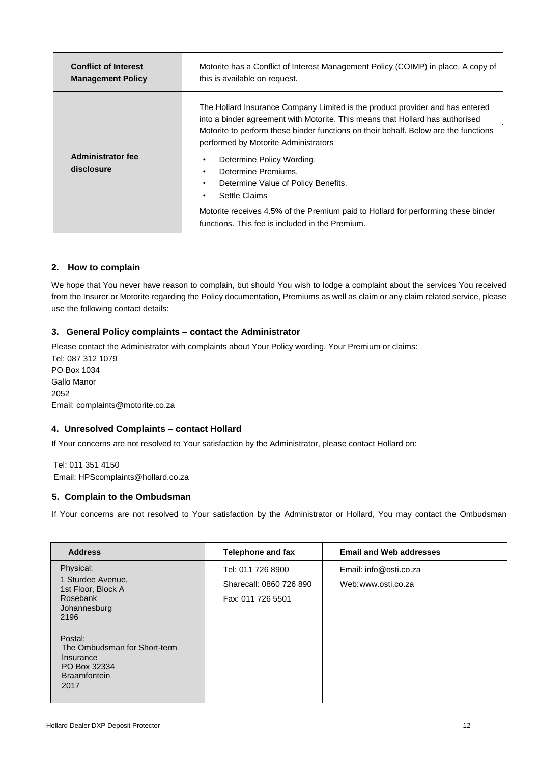| <b>Conflict of Interest</b>            | Motorite has a Conflict of Interest Management Policy (COIMP) in place. A copy of                                                                                                                                                                                                                                                                                                                                                                                                                                                                 |  |
|----------------------------------------|---------------------------------------------------------------------------------------------------------------------------------------------------------------------------------------------------------------------------------------------------------------------------------------------------------------------------------------------------------------------------------------------------------------------------------------------------------------------------------------------------------------------------------------------------|--|
| <b>Management Policy</b>               | this is available on request.                                                                                                                                                                                                                                                                                                                                                                                                                                                                                                                     |  |
| <b>Administrator fee</b><br>disclosure | The Hollard Insurance Company Limited is the product provider and has entered<br>into a binder agreement with Motorite. This means that Hollard has authorised<br>Motorite to perform these binder functions on their behalf. Below are the functions<br>performed by Motorite Administrators<br>Determine Policy Wording.<br>Determine Premiums.<br>Determine Value of Policy Benefits.<br>Settle Claims<br>Motorite receives 4.5% of the Premium paid to Hollard for performing these binder<br>functions. This fee is included in the Premium. |  |

#### **2. How to complain**

We hope that You never have reason to complain, but should You wish to lodge a complaint about the services You received from the Insurer or Motorite regarding the Policy documentation, Premiums as well as claim or any claim related service, please use the following contact details:

#### **3. General Policy complaints – contact the Administrator**

Please contact the Administrator with complaints about Your Policy wording, Your Premium or claims: Tel: 087 312 1079 PO Box 1034 Gallo Manor 2052 Email: complaints@motorite.co.za

#### **4. Unresolved Complaints – contact Hollard**

If Your concerns are not resolved to Your satisfaction by the Administrator, please contact Hollard on:

Tel: 011 351 4150 Email: HPScomplaints@hollard.co.za

#### **5. Complain to the Ombudsman**

If Your concerns are not resolved to Your satisfaction by the Administrator or Hollard, You may contact the Ombudsman

| <b>Address</b>                                                                                      | Telephone and fax       | <b>Email and Web addresses</b> |
|-----------------------------------------------------------------------------------------------------|-------------------------|--------------------------------|
| Physical:                                                                                           | Tel: 011 726 8900       | Email: info@osti.co.za         |
| 1 Sturdee Avenue,<br>1st Floor, Block A                                                             | Sharecall: 0860 726 890 | Web:www.osti.co.za             |
| Rosebank<br>Johannesburg<br>2196                                                                    | Fax: 011 726 5501       |                                |
| Postal:<br>The Ombudsman for Short-term<br>Insurance<br>PO Box 32334<br><b>Braamfontein</b><br>2017 |                         |                                |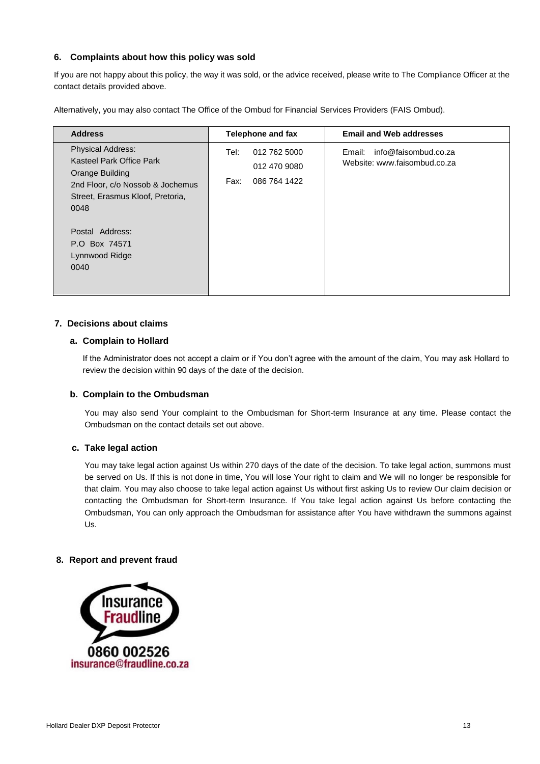#### **6. Complaints about how this policy was sold**

If y[ou are not happy about this policy](mailto:HPScomplaints@hollard.co.za), the way it was sold, or the advice received, please write to The Compliance Officer at the contact details provided above.

Alternatively, you may also contact The Office of the Ombud for Financial Services Providers (FAIS Ombud).

| <b>Address</b>                                                                                                                                                                                                        | <b>Telephone and fax</b>                                     | <b>Email and Web addresses</b>                                 |
|-----------------------------------------------------------------------------------------------------------------------------------------------------------------------------------------------------------------------|--------------------------------------------------------------|----------------------------------------------------------------|
| <b>Physical Address:</b><br>Kasteel Park Office Park<br>Orange Building<br>2nd Floor, c/o Nossob & Jochemus<br>Street, Erasmus Kloof, Pretoria,<br>0048<br>Postal Address:<br>P.O Box 74571<br>Lynnwood Ridge<br>0040 | 012 762 5000<br>Tel:<br>012 470 9080<br>086 764 1422<br>Fax: | info@faisombud.co.za<br>Email:<br>Website: www.faisombud.co.za |

#### **7. Decisions about claims**

#### **a. Complain to Hollard**

If the Administrator does not accept a claim or if You don't agree with the amount of the claim, You may ask Hollard to review the decision within 90 days of the date of the decision.

#### **b. Complain to the Ombudsman**

You may also send Your complaint to the Ombudsman for Short-term Insurance at any time. Please contact the Ombudsman on the contact details set out above.

#### **c. Take legal action**

You may take legal action against Us within 270 days of the date of the decision. To take legal action, summons must be served on Us. If this is not done in time, You will lose Your right to claim and We will no longer be responsible for that claim. You may also choose to take legal action against Us without first asking Us to review Our claim decision or contacting the Ombudsman for Short-term Insurance. If You take legal action against Us before contacting the Ombudsman, You can only approach the Ombudsman for assistance after You have withdrawn the summons against Us.

#### **8. Report and prevent fraud**